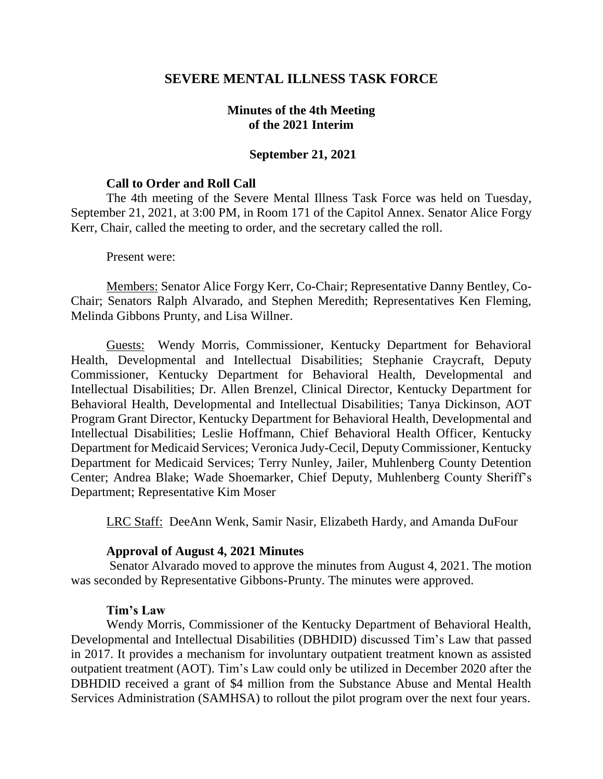## **SEVERE MENTAL ILLNESS TASK FORCE**

# **Minutes of the 4th Meeting of the 2021 Interim**

#### **September 21, 2021**

#### **Call to Order and Roll Call**

The 4th meeting of the Severe Mental Illness Task Force was held on Tuesday, September 21, 2021, at 3:00 PM, in Room 171 of the Capitol Annex. Senator Alice Forgy Kerr, Chair, called the meeting to order, and the secretary called the roll.

Present were:

Members: Senator Alice Forgy Kerr, Co-Chair; Representative Danny Bentley, Co-Chair; Senators Ralph Alvarado, and Stephen Meredith; Representatives Ken Fleming, Melinda Gibbons Prunty, and Lisa Willner.

Guests: Wendy Morris, Commissioner, Kentucky Department for Behavioral Health, Developmental and Intellectual Disabilities; Stephanie Craycraft, Deputy Commissioner, Kentucky Department for Behavioral Health, Developmental and Intellectual Disabilities; Dr. Allen Brenzel, Clinical Director, Kentucky Department for Behavioral Health, Developmental and Intellectual Disabilities; Tanya Dickinson, AOT Program Grant Director, Kentucky Department for Behavioral Health, Developmental and Intellectual Disabilities; Leslie Hoffmann, Chief Behavioral Health Officer, Kentucky Department for Medicaid Services; Veronica Judy-Cecil, Deputy Commissioner, Kentucky Department for Medicaid Services; Terry Nunley, Jailer, Muhlenberg County Detention Center; Andrea Blake; Wade Shoemarker, Chief Deputy, Muhlenberg County Sheriff's Department; Representative Kim Moser

LRC Staff: DeeAnn Wenk, Samir Nasir, Elizabeth Hardy, and Amanda DuFour

#### **Approval of August 4, 2021 Minutes**

Senator Alvarado moved to approve the minutes from August 4, 2021. The motion was seconded by Representative Gibbons-Prunty. The minutes were approved.

#### **Tim's Law**

Wendy Morris, Commissioner of the Kentucky Department of Behavioral Health, Developmental and Intellectual Disabilities (DBHDID) discussed Tim's Law that passed in 2017. It provides a mechanism for involuntary outpatient treatment known as assisted outpatient treatment (AOT). Tim's Law could only be utilized in December 2020 after the DBHDID received a grant of \$4 million from the Substance Abuse and Mental Health Services Administration (SAMHSA) to rollout the pilot program over the next four years.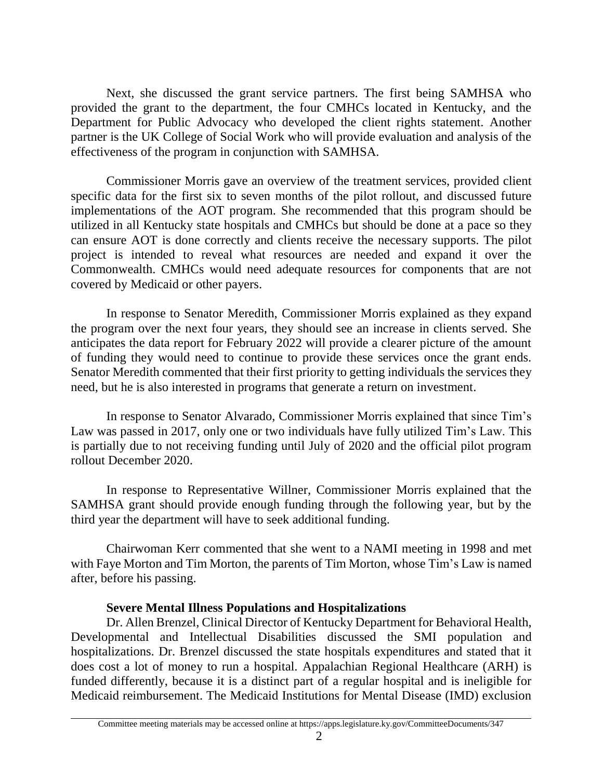Next, she discussed the grant service partners. The first being SAMHSA who provided the grant to the department, the four CMHCs located in Kentucky, and the Department for Public Advocacy who developed the client rights statement. Another partner is the UK College of Social Work who will provide evaluation and analysis of the effectiveness of the program in conjunction with SAMHSA.

Commissioner Morris gave an overview of the treatment services, provided client specific data for the first six to seven months of the pilot rollout, and discussed future implementations of the AOT program. She recommended that this program should be utilized in all Kentucky state hospitals and CMHCs but should be done at a pace so they can ensure AOT is done correctly and clients receive the necessary supports. The pilot project is intended to reveal what resources are needed and expand it over the Commonwealth. CMHCs would need adequate resources for components that are not covered by Medicaid or other payers.

In response to Senator Meredith, Commissioner Morris explained as they expand the program over the next four years, they should see an increase in clients served. She anticipates the data report for February 2022 will provide a clearer picture of the amount of funding they would need to continue to provide these services once the grant ends. Senator Meredith commented that their first priority to getting individuals the services they need, but he is also interested in programs that generate a return on investment.

In response to Senator Alvarado, Commissioner Morris explained that since Tim's Law was passed in 2017, only one or two individuals have fully utilized Tim's Law. This is partially due to not receiving funding until July of 2020 and the official pilot program rollout December 2020.

In response to Representative Willner, Commissioner Morris explained that the SAMHSA grant should provide enough funding through the following year, but by the third year the department will have to seek additional funding.

Chairwoman Kerr commented that she went to a NAMI meeting in 1998 and met with Faye Morton and Tim Morton, the parents of Tim Morton, whose Tim's Law is named after, before his passing.

## **Severe Mental Illness Populations and Hospitalizations**

Dr. Allen Brenzel, Clinical Director of Kentucky Department for Behavioral Health, Developmental and Intellectual Disabilities discussed the SMI population and hospitalizations. Dr. Brenzel discussed the state hospitals expenditures and stated that it does cost a lot of money to run a hospital. Appalachian Regional Healthcare (ARH) is funded differently, because it is a distinct part of a regular hospital and is ineligible for Medicaid reimbursement. The Medicaid Institutions for Mental Disease (IMD) exclusion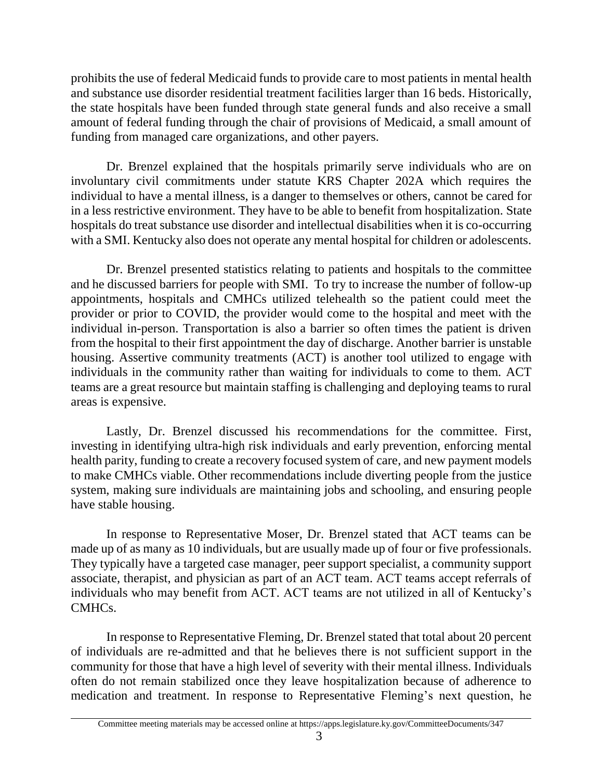prohibits the use of federal Medicaid funds to provide care to most patients in mental health and substance use disorder residential treatment facilities larger than 16 beds. Historically, the state hospitals have been funded through state general funds and also receive a small amount of federal funding through the chair of provisions of Medicaid, a small amount of funding from managed care organizations, and other payers.

Dr. Brenzel explained that the hospitals primarily serve individuals who are on involuntary civil commitments under statute KRS Chapter 202A which requires the individual to have a mental illness, is a danger to themselves or others, cannot be cared for in a less restrictive environment. They have to be able to benefit from hospitalization. State hospitals do treat substance use disorder and intellectual disabilities when it is co-occurring with a SMI. Kentucky also does not operate any mental hospital for children or adolescents.

Dr. Brenzel presented statistics relating to patients and hospitals to the committee and he discussed barriers for people with SMI. To try to increase the number of follow-up appointments, hospitals and CMHCs utilized telehealth so the patient could meet the provider or prior to COVID, the provider would come to the hospital and meet with the individual in-person. Transportation is also a barrier so often times the patient is driven from the hospital to their first appointment the day of discharge. Another barrier is unstable housing. Assertive community treatments (ACT) is another tool utilized to engage with individuals in the community rather than waiting for individuals to come to them. ACT teams are a great resource but maintain staffing is challenging and deploying teams to rural areas is expensive.

Lastly, Dr. Brenzel discussed his recommendations for the committee. First, investing in identifying ultra-high risk individuals and early prevention, enforcing mental health parity, funding to create a recovery focused system of care, and new payment models to make CMHCs viable. Other recommendations include diverting people from the justice system, making sure individuals are maintaining jobs and schooling, and ensuring people have stable housing.

In response to Representative Moser, Dr. Brenzel stated that ACT teams can be made up of as many as 10 individuals, but are usually made up of four or five professionals. They typically have a targeted case manager, peer support specialist, a community support associate, therapist, and physician as part of an ACT team. ACT teams accept referrals of individuals who may benefit from ACT. ACT teams are not utilized in all of Kentucky's CMHCs.

In response to Representative Fleming, Dr. Brenzel stated that total about 20 percent of individuals are re-admitted and that he believes there is not sufficient support in the community for those that have a high level of severity with their mental illness. Individuals often do not remain stabilized once they leave hospitalization because of adherence to medication and treatment. In response to Representative Fleming's next question, he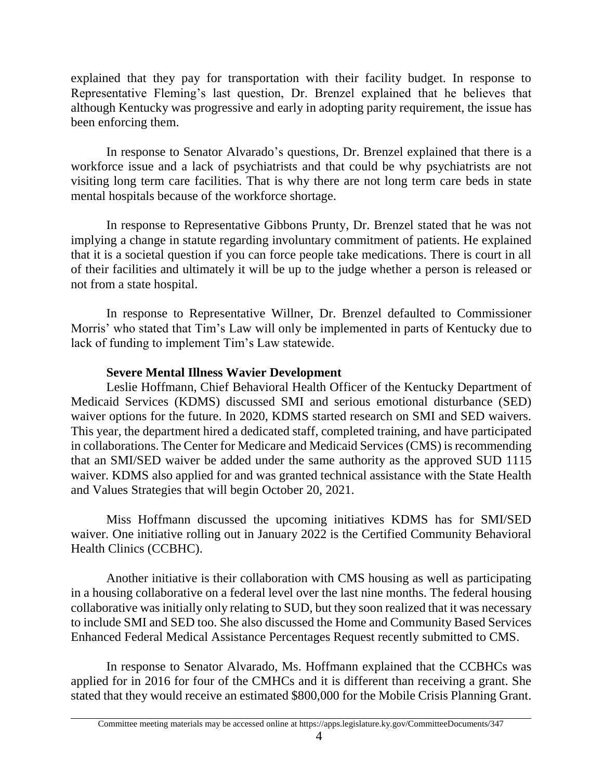explained that they pay for transportation with their facility budget. In response to Representative Fleming's last question, Dr. Brenzel explained that he believes that although Kentucky was progressive and early in adopting parity requirement, the issue has been enforcing them.

In response to Senator Alvarado's questions, Dr. Brenzel explained that there is a workforce issue and a lack of psychiatrists and that could be why psychiatrists are not visiting long term care facilities. That is why there are not long term care beds in state mental hospitals because of the workforce shortage.

In response to Representative Gibbons Prunty, Dr. Brenzel stated that he was not implying a change in statute regarding involuntary commitment of patients. He explained that it is a societal question if you can force people take medications. There is court in all of their facilities and ultimately it will be up to the judge whether a person is released or not from a state hospital.

In response to Representative Willner, Dr. Brenzel defaulted to Commissioner Morris' who stated that Tim's Law will only be implemented in parts of Kentucky due to lack of funding to implement Tim's Law statewide.

# **Severe Mental Illness Wavier Development**

Leslie Hoffmann, Chief Behavioral Health Officer of the Kentucky Department of Medicaid Services (KDMS) discussed SMI and serious emotional disturbance (SED) waiver options for the future. In 2020, KDMS started research on SMI and SED waivers. This year, the department hired a dedicated staff, completed training, and have participated in collaborations. The Center for Medicare and Medicaid Services (CMS) is recommending that an SMI/SED waiver be added under the same authority as the approved SUD 1115 waiver. KDMS also applied for and was granted technical assistance with the State Health and Values Strategies that will begin October 20, 2021.

Miss Hoffmann discussed the upcoming initiatives KDMS has for SMI/SED waiver. One initiative rolling out in January 2022 is the Certified Community Behavioral Health Clinics (CCBHC).

Another initiative is their collaboration with CMS housing as well as participating in a housing collaborative on a federal level over the last nine months. The federal housing collaborative was initially only relating to SUD, but they soon realized that it was necessary to include SMI and SED too. She also discussed the Home and Community Based Services Enhanced Federal Medical Assistance Percentages Request recently submitted to CMS.

In response to Senator Alvarado, Ms. Hoffmann explained that the CCBHCs was applied for in 2016 for four of the CMHCs and it is different than receiving a grant. She stated that they would receive an estimated \$800,000 for the Mobile Crisis Planning Grant.